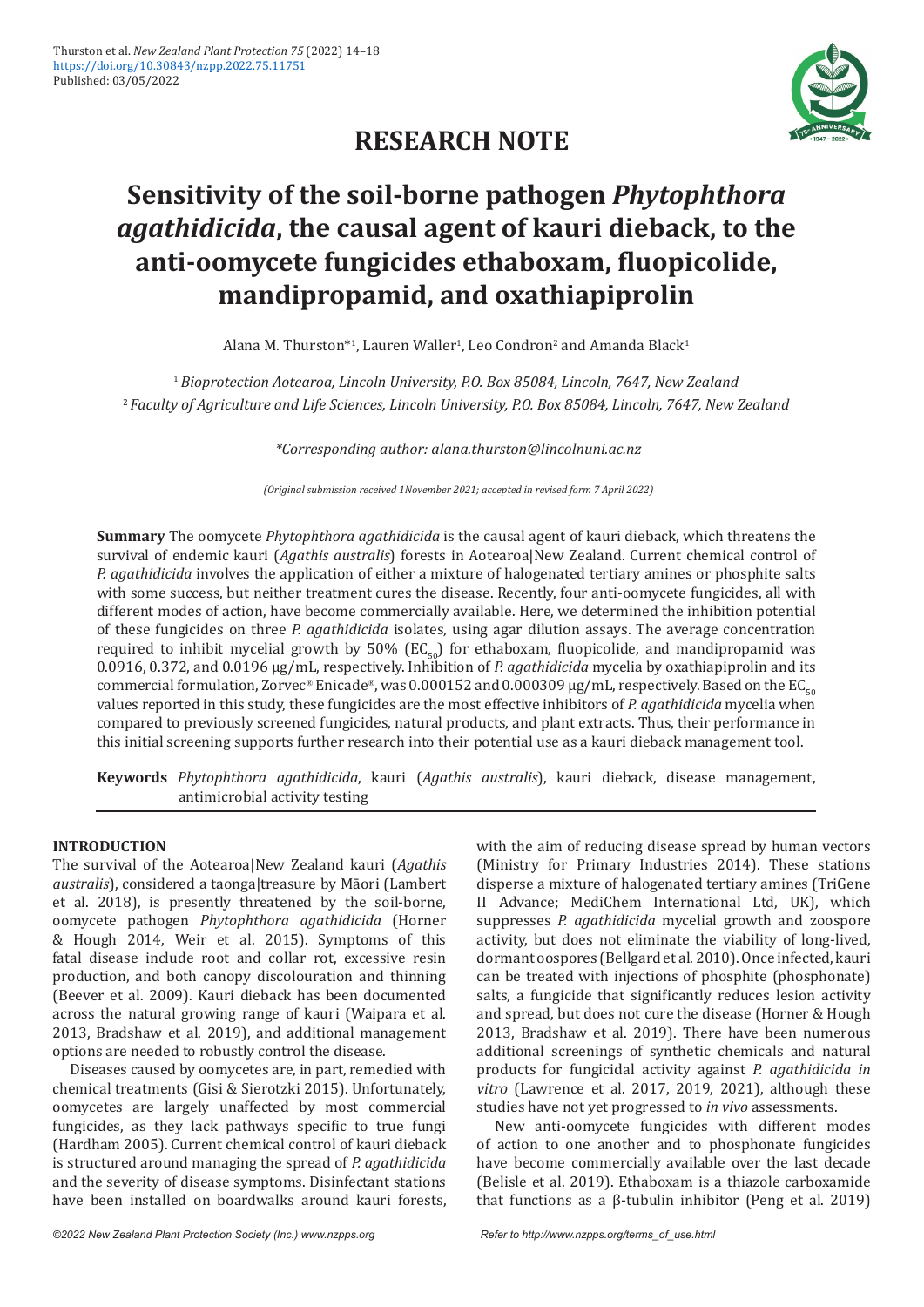

# **RESEARCH NOTE**

# **Sensitivity of the soil-borne pathogen** *Phytophthora agathidicida***, the causal agent of kauri dieback, to the anti-oomycete fungicides ethaboxam, fluopicolide, mandipropamid, and oxathiapiprolin**

Alana M. Thurston\*<sup>1</sup>, Lauren Waller<sup>1</sup>, Leo Condron<sup>2</sup> and Amanda Black<sup>1</sup>

<sup>1</sup>*Bioprotection Aotearoa, Lincoln University, P.O. Box 85084, Lincoln, 7647, New Zealand* <sup>2</sup> *Faculty of Agriculture and Life Sciences, Lincoln University, P.O. Box 85084, Lincoln, 7647, New Zealand*

*\*Corresponding author: alana.thurston@lincolnuni.ac.nz*

*(Original submission received 1November 2021; accepted in revised form 7 April 2022)*

**Summary** The oomycete *Phytophthora agathidicida* is the causal agent of kauri dieback, which threatens the survival of endemic kauri (*Agathis australis*) forests in Aotearoa|New Zealand. Current chemical control of *P. agathidicida* involves the application of either a mixture of halogenated tertiary amines or phosphite salts with some success, but neither treatment cures the disease. Recently, four anti-oomycete fungicides, all with different modes of action, have become commercially available. Here, we determined the inhibition potential of these fungicides on three *P. agathidicida* isolates, using agar dilution assays. The average concentration required to inhibit mycelial growth by 50% ( $EC_{50}$ ) for ethaboxam, fluopicolide, and mandipropamid was 0.0916, 0.372, and 0.0196 µg/mL, respectively. Inhibition of *P. agathidicida* mycelia by oxathiapiprolin and its commercial formulation, Zorvec® Enicade®, was 0.000152 and 0.000309 µg/mL, respectively. Based on the EC<sub>50</sub> values reported in this study, these fungicides are the most effective inhibitors of *P. agathidicida* mycelia when compared to previously screened fungicides, natural products, and plant extracts. Thus, their performance in this initial screening supports further research into their potential use as a kauri dieback management tool.

**Keywords** *Phytophthora agathidicida*, kauri (*Agathis australis*), kauri dieback, disease management, antimicrobial activity testing

# **INTRODUCTION**

The survival of the Aotearoa|New Zealand kauri (*Agathis australis*), considered a taonga|treasure by Māori (Lambert et al. 2018), is presently threatened by the soil-borne, oomycete pathogen *Phytophthora agathidicida* (Horner & Hough 2014, Weir et al. 2015). Symptoms of this fatal disease include root and collar rot, excessive resin production, and both canopy discolouration and thinning (Beever et al. 2009). Kauri dieback has been documented across the natural growing range of kauri (Waipara et al. 2013, Bradshaw et al. 2019), and additional management options are needed to robustly control the disease.

Diseases caused by oomycetes are, in part, remedied with chemical treatments (Gisi & Sierotzki 2015). Unfortunately, oomycetes are largely unaffected by most commercial fungicides, as they lack pathways specific to true fungi (Hardham 2005). Current chemical control of kauri dieback is structured around managing the spread of *P. agathidicida* and the severity of disease symptoms. Disinfectant stations have been installed on boardwalks around kauri forests, with the aim of reducing disease spread by human vectors (Ministry for Primary Industries 2014). These stations disperse a mixture of halogenated tertiary amines (TriGene II Advance; MediChem International Ltd, UK), which suppresses *P. agathidicida* mycelial growth and zoospore activity, but does not eliminate the viability of long-lived, dormant oospores (Bellgard et al. 2010). Once infected, kauri can be treated with injections of phosphite (phosphonate) salts, a fungicide that significantly reduces lesion activity and spread, but does not cure the disease (Horner & Hough 2013, Bradshaw et al. 2019). There have been numerous additional screenings of synthetic chemicals and natural products for fungicidal activity against *P. agathidicida in vitro* (Lawrence et al. 2017, 2019, 2021), although these studies have not yet progressed to *in vivo* assessments.

New anti-oomycete fungicides with different modes of action to one another and to phosphonate fungicides have become commercially available over the last decade (Belisle et al. 2019). Ethaboxam is a thiazole carboxamide that functions as a β-tubulin inhibitor (Peng et al. 2019)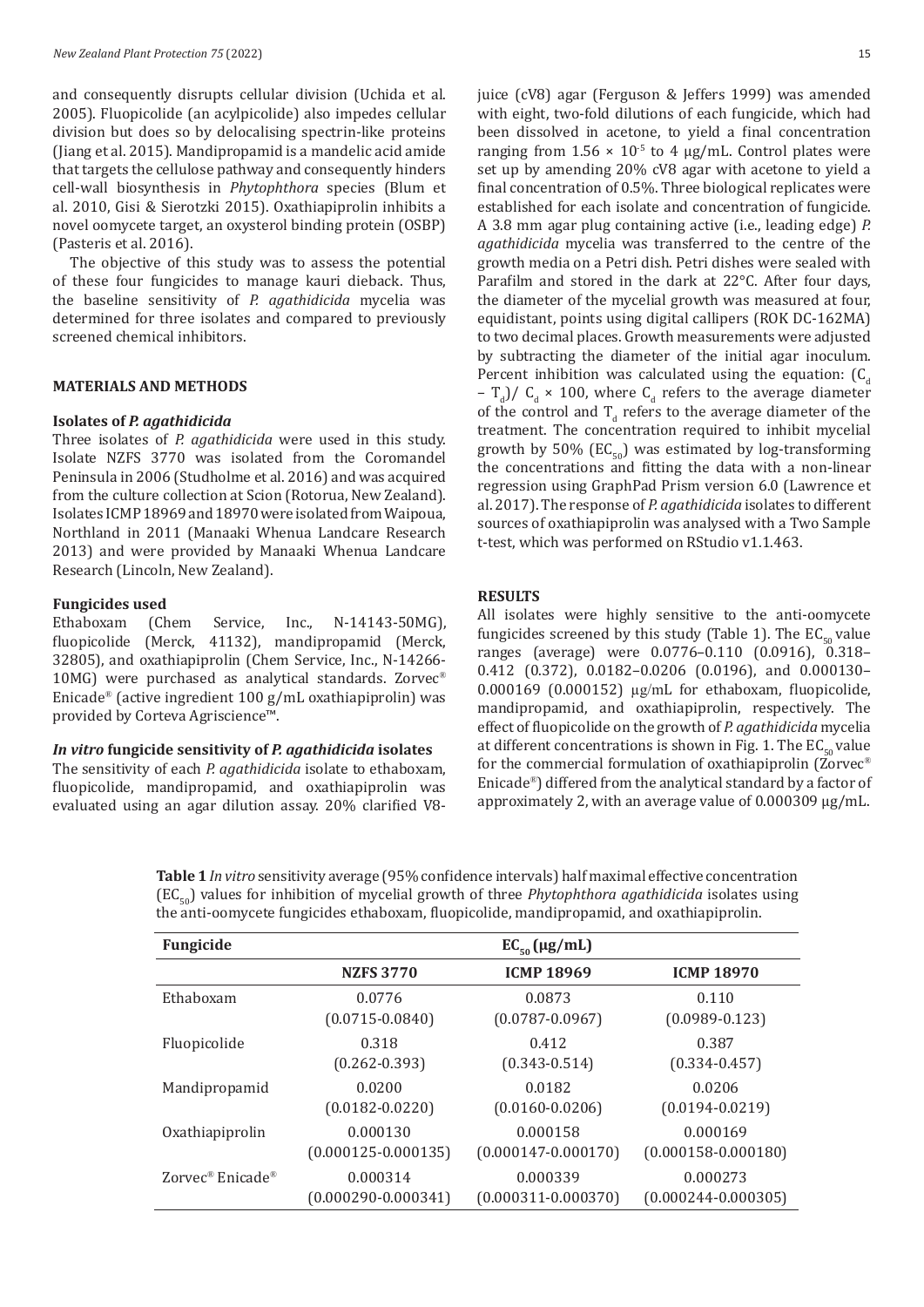and consequently disrupts cellular division (Uchida et al. 2005). Fluopicolide (an acylpicolide) also impedes cellular division but does so by delocalising spectrin-like proteins (Jiang et al. 2015). Mandipropamid is a mandelic acid amide that targets the cellulose pathway and consequently hinders cell-wall biosynthesis in *Phytophthora* species (Blum et al. 2010, Gisi & Sierotzki 2015). Oxathiapiprolin inhibits a novel oomycete target, an oxysterol binding protein (OSBP) (Pasteris et al. 2016).

The objective of this study was to assess the potential of these four fungicides to manage kauri dieback. Thus, the baseline sensitivity of *P. agathidicida* mycelia was determined for three isolates and compared to previously screened chemical inhibitors.

#### **MATERIALS AND METHODS**

#### **Isolates of** *P. agathidicida*

Three isolates of *P. agathidicida* were used in this study. Isolate NZFS 3770 was isolated from the Coromandel Peninsula in 2006 (Studholme et al. 2016) and was acquired from the culture collection at Scion (Rotorua, New Zealand). Isolates ICMP 18969 and 18970 were isolated from Waipoua, Northland in 2011 (Manaaki Whenua Landcare Research 2013) and were provided by Manaaki Whenua Landcare Research (Lincoln, New Zealand).

#### **Fungicides used**

Ethaboxam (Chem Service, Inc., N-14143-50MG), fluopicolide (Merck, 41132), mandipropamid (Merck, 32805), and oxathiapiprolin (Chem Service, Inc., N-14266- 10MG) were purchased as analytical standards. Zorvec® Enicade® (active ingredient 100 g/mL oxathiapiprolin) was provided by Corteva Agriscience™.

#### *In vitro* **fungicide sensitivity of** *P. agathidicida* **isolates**

The sensitivity of each *P. agathidicida* isolate to ethaboxam, fluopicolide, mandipropamid, and oxathiapiprolin was evaluated using an agar dilution assay. 20% clarified V8juice (cV8) agar (Ferguson & Jeffers 1999) was amended with eight, two-fold dilutions of each fungicide, which had been dissolved in acetone, to yield a final concentration ranging from  $1.56 \times 10^{-5}$  to 4 µg/mL. Control plates were set up by amending 20% cV8 agar with acetone to yield a final concentration of 0.5%. Three biological replicates were established for each isolate and concentration of fungicide. A 3.8 mm agar plug containing active (i.e., leading edge) *P. agathidicida* mycelia was transferred to the centre of the growth media on a Petri dish. Petri dishes were sealed with Parafilm and stored in the dark at 22°C. After four days, the diameter of the mycelial growth was measured at four, equidistant, points using digital callipers (ROK DC-162MA) to two decimal places. Growth measurements were adjusted by subtracting the diameter of the initial agar inoculum. Percent inhibition was calculated using the equation:  $(C_d)$  $-\int_{d}^{d}$  / C<sub>d</sub> × 100, where C<sub>d</sub> refers to the average diameter of the control and  $T_d$  refers to the average diameter of the treatment. The concentration required to inhibit mycelial growth by 50% ( $EC_{50}$ ) was estimated by log-transforming the concentrations and fitting the data with a non-linear regression using GraphPad Prism version 6.0 (Lawrence et al. 2017). The response of *P. agathidicida* isolates to different sources of oxathiapiprolin was analysed with a Two Sample t-test, which was performed on RStudio v1.1.463.

#### **RESULTS**

All isolates were highly sensitive to the anti-oomycete fungicides screened by this study (Table 1). The  $EC_{50}$  value ranges (average) were 0.0776–0.110 (0.0916), 0.318– 0.412 (0.372), 0.0182–0.0206 (0.0196), and 0.000130– 0.000169 (0.000152) µg/mL for ethaboxam, fluopicolide, mandipropamid, and oxathiapiprolin, respectively. The effect of fluopicolide on the growth of *P. agathidicida* mycelia at different concentrations is shown in Fig. 1. The  $EC_{50}$  value for the commercial formulation of oxathiapiprolin (Zorvec® Enicade®) differed from the analytical standard by a factor of approximately 2, with an average value of 0.000309 µg/mL.

**Table 1***In vitro* sensitivity average (95% confidence intervals) half maximal effective concentration (EC50) values for inhibition of mycelial growth of three *Phytophthora agathidicida* isolates using the anti-oomycete fungicides ethaboxam, fluopicolide, mandipropamid, and oxathiapiprolin.

| Fungicide                                |                         | $EC_{50}(\mu g/mL)$     |                         |
|------------------------------------------|-------------------------|-------------------------|-------------------------|
|                                          | <b>NZFS 3770</b>        | <b>ICMP 18969</b>       | <b>ICMP 18970</b>       |
| Ethaboxam                                | 0.0776                  | 0.0873                  | 0.110                   |
|                                          | $(0.0715 - 0.0840)$     | $(0.0787 - 0.0967)$     | $(0.0989 - 0.123)$      |
| Fluopicolide                             | 0.318                   | 0.412                   | 0.387                   |
|                                          | $(0.262 - 0.393)$       | $(0.343 - 0.514)$       | $(0.334 - 0.457)$       |
| Mandipropamid                            | 0.0200                  | 0.0182                  | 0.0206                  |
|                                          | $(0.0182 - 0.0220)$     | $(0.0160 - 0.0206)$     | $(0.0194 - 0.0219)$     |
| Oxathiapiprolin                          | 0.000130                | 0.000158                | 0.000169                |
|                                          | $(0.000125 - 0.000135)$ | $(0.000147 - 0.000170)$ | $(0.000158 - 0.000180)$ |
| Zorvec <sup>®</sup> Enicade <sup>®</sup> | 0.000314                | 0.000339                | 0.000273                |
|                                          | $(0.000290 - 0.000341)$ | $(0.000311 - 0.000370)$ | $(0.000244 - 0.000305)$ |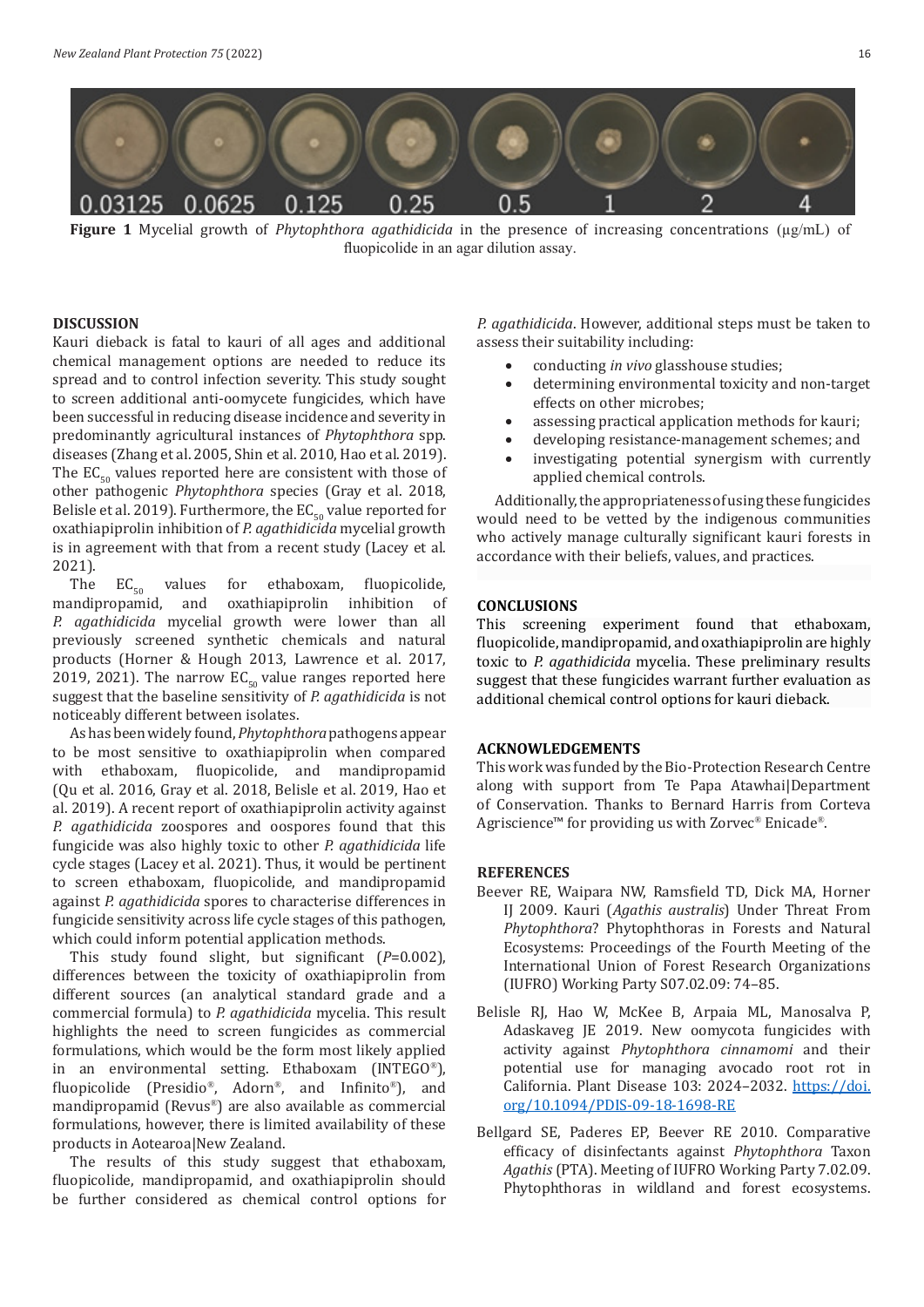

**Figure 1** Mycelial growth of *Phytophthora agathidicida* in the presence of increasing concentrations (µg/mL) of fluopicolide in an agar dilution assay.

### **DISCUSSION**

Kauri dieback is fatal to kauri of all ages and additional chemical management options are needed to reduce its spread and to control infection severity. This study sought to screen additional anti-oomycete fungicides, which have been successful in reducing disease incidence and severity in predominantly agricultural instances of *Phytophthora* spp. diseases (Zhang et al. 2005, Shin et al. 2010, Hao et al. 2019). The  $EC_{50}$  values reported here are consistent with those of other pathogenic *Phytophthora* species (Gray et al. 2018, Belisle et al. 2019). Furthermore, the  $EC_{50}$  value reported for oxathiapiprolin inhibition of *P. agathidicida* mycelial growth is in agreement with that from a recent study (Lacey et al. 2021).<br>The  $EC_{50}$  values

The  $EC_{50}$  values for ethaboxam, fluopicolide,<br>mandipropamid, and oxathiapiprolin inhibition of oxathiapiprolin inhibition *P. agathidicida* mycelial growth were lower than all previously screened synthetic chemicals and natural products (Horner & Hough 2013, Lawrence et al. 2017, 2019, 2021). The narrow  $EC_{50}$  value ranges reported here suggest that the baseline sensitivity of *P. agathidicida* is not noticeably different between isolates.

As has been widely found, *Phytophthora* pathogens appear to be most sensitive to oxathiapiprolin when compared with ethaboxam, fluopicolide, and mandipropamid (Qu et al. 2016, Gray et al. 2018, Belisle et al. 2019, Hao et al. 2019). A recent report of oxathiapiprolin activity against *P. agathidicida* zoospores and oospores found that this fungicide was also highly toxic to other *P. agathidicida* life cycle stages (Lacey et al. 2021). Thus, it would be pertinent to screen ethaboxam, fluopicolide, and mandipropamid against *P. agathidicida* spores to characterise differences in fungicide sensitivity across life cycle stages of this pathogen, which could inform potential application methods.

This study found slight, but significant (*P*=0.002), differences between the toxicity of oxathiapiprolin from different sources (an analytical standard grade and a commercial formula) to *P. agathidicida* mycelia. This result highlights the need to screen fungicides as commercial formulations, which would be the form most likely applied in an environmental setting. Ethaboxam (INTEGO®), fluopicolide (Presidio®, Adorn®, and Infinito®), and mandipropamid (Revus®) are also available as commercial formulations, however, there is limited availability of these products in Aotearoa|New Zealand.

The results of this study suggest that ethaboxam, fluopicolide, mandipropamid, and oxathiapiprolin should be further considered as chemical control options for *P. agathidicida*. However, additional steps must be taken to assess their suitability including:

- conducting *in vivo* glasshouse studies;
- determining environmental toxicity and non-target effects on other microbes;
- • assessing practical application methods for kauri;
- developing resistance-management schemes; and
- investigating potential synergism with currently applied chemical controls.

Additionally, the appropriateness of using these fungicides would need to be vetted by the indigenous communities who actively manage culturally significant kauri forests in accordance with their beliefs, values, and practices.

### **CONCLUSIONS**

This screening experiment found that ethaboxam, fluopicolide, mandipropamid, and oxathiapiprolin are highly toxic to *P. agathidicida* mycelia. These preliminary results suggest that these fungicides warrant further evaluation as additional chemical control options for kauri dieback.

#### **ACKNOWLEDGEMENTS**

This work was funded by the Bio-Protection Research Centre along with support from Te Papa Atawhai|Department of Conservation. Thanks to Bernard Harris from Corteva Agriscience<sup>™</sup> for providing us with Zorvec® Enicade®.

## **REFERENCES**

- Beever RE, Waipara NW, Ramsfield TD, Dick MA, Horner IJ 2009. Kauri (*Agathis australis*) Under Threat From *Phytophthora*? Phytophthoras in Forests and Natural Ecosystems: Proceedings of the Fourth Meeting of the International Union of Forest Research Organizations (IUFRO) Working Party S07.02.09: 74–85.
- Belisle RJ, Hao W, McKee B, Arpaia ML, Manosalva P, Adaskaveg JE 2019. New oomycota fungicides with activity against *Phytophthora cinnamomi* and their potential use for managing avocado root rot in California. Plant Disease 103: 2024–2032. [https://doi.](https://doi.org/10.1094/PDIS-09-18-1698-RE) [org/10.1094/PDIS-09-18-1698-RE](https://doi.org/10.1094/PDIS-09-18-1698-RE)
- Bellgard SE, Paderes EP, Beever RE 2010. Comparative efficacy of disinfectants against *Phytophthora* Taxon *Agathis* (PTA). Meeting of IUFRO Working Party 7.02.09. Phytophthoras in wildland and forest ecosystems.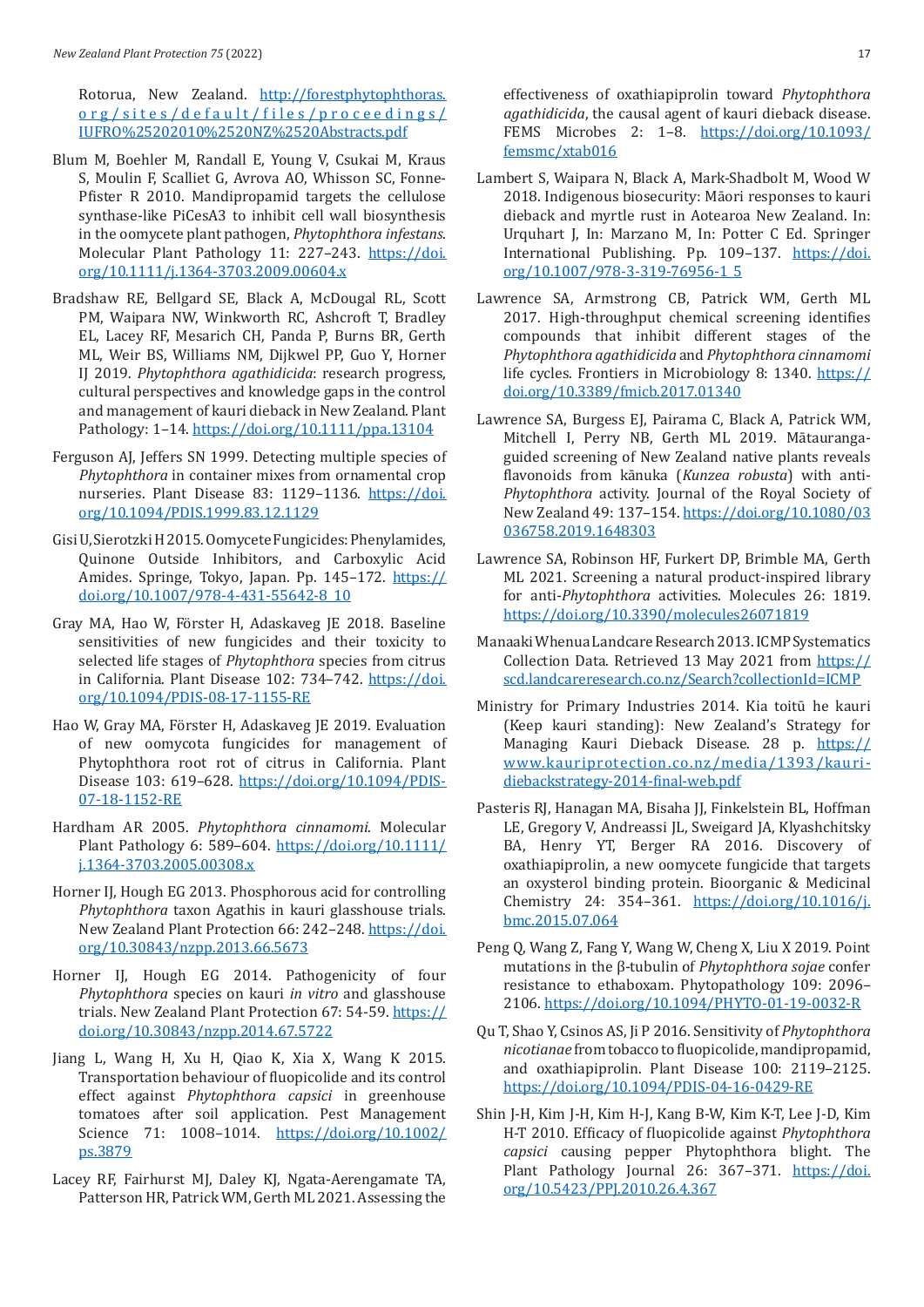Rotorua, New Zealand. http://forestphytophthoras. org/sites/default/files/proceedings/ IUFRO%25202010%2520NZ%2520Abstracts.pdf

- Blum M, Boehler M, Randall E, Young V, Csukai M, Kraus S, Moulin F, Scalliet G, Avrova AO, Whisson SC, Fonne-Pfister R 2010. Mandipropamid targets the cellulose synthase-like PiCesA3 to inhibit cell wall biosynthesis in the oomycete plant pathogen, *Phytophthora infestans*. Molecular Plant Pathology 11: 227–243. [https://doi.](https://doi.org/10.1111/j.1364-3703.2009.00604.x) [org/10.1111/j.1364-3703.2009.00604.x](https://doi.org/10.1111/j.1364-3703.2009.00604.x)
- Bradshaw RE, Bellgard SE, Black A, McDougal RL, Scott PM, Waipara NW, Winkworth RC, Ashcroft T, Bradley EL, Lacey RF, Mesarich CH, Panda P, Burns BR, Gerth ML, Weir BS, Williams NM, Dijkwel PP, Guo Y, Horner IJ 2019. *Phytophthora agathidicida*: research progress, cultural perspectives and knowledge gaps in the control and management of kauri dieback in New Zealand. Plant Pathology: 1–14. <https://doi.org/10.1111/ppa.13104>
- Ferguson AJ, Jeffers SN 1999. Detecting multiple species of *Phytophthora* in container mixes from ornamental crop nurseries. Plant Disease 83: 1129-1136. [https://doi.](https://doi.org/10.1094/PDIS.1999.83.12.1129) [org/10.1094/PDIS.1999.83.12.1129](https://doi.org/10.1094/PDIS.1999.83.12.1129)
- Gisi U, Sierotzki H 2015. Oomycete Fungicides: Phenylamides, Quinone Outside Inhibitors, and Carboxylic Acid Amides. Springe, Tokyo, Japan. Pp. 145-172. [https://](https://doi.org/10.1007/978-4-431-55642-8_10) [doi.org/10.1007/978-4-431-55642-8\\_10](https://doi.org/10.1007/978-4-431-55642-8_10)
- Gray MA, Hao W, Förster H, Adaskaveg JE 2018. Baseline sensitivities of new fungicides and their toxicity to selected life stages of *Phytophthora* species from citrus in California. Plant Disease 102: 734–742. [https://doi.](https://doi.org/10.1094/PDIS-08-17-1155-RE) [org/10.1094/PDIS-08-17-1155-RE](https://doi.org/10.1094/PDIS-08-17-1155-RE)
- Hao W, Gray MA, Förster H, Adaskaveg JE 2019. Evaluation of new oomycota fungicides for management of Phytophthora root rot of citrus in California. Plant Disease 103: 619–628. [https://doi.org/10.1094/PDIS-](https://doi.org/10.1094/PDIS-07-18-1152-RE)[07-18-1152-RE](https://doi.org/10.1094/PDIS-07-18-1152-RE)
- Hardham AR 2005. *Phytophthora cinnamomi*. Molecular Plant Pathology 6: 589–604. [https://doi.org/10.1111/](https://doi.org/10.1111/j.1364-3703.2005.00308.x) [j.1364-3703.2005.00308.x](https://doi.org/10.1111/j.1364-3703.2005.00308.x)
- Horner IJ, Hough EG 2013. Phosphorous acid for controlling *Phytophthora* taxon Agathis in kauri glasshouse trials. New Zealand Plant Protection 66: 242–248. [https://doi.](https://doi.org/10.30843/nzpp.2013.66.5673) [org/10.30843/nzpp.2013.66.5673](https://doi.org/10.30843/nzpp.2013.66.5673)
- Horner IJ, Hough EG 2014. Pathogenicity of four *Phytophthora* species on kauri *in vitro* and glasshouse trials. New Zealand Plant Protection 67: 54-59. [https://](https://doi.org/10.30843/nzpp.2014.67.5722) [doi.org/10.30843/nzpp.2014.67.5722](https://doi.org/10.30843/nzpp.2014.67.5722)
- Jiang L, Wang H, Xu H, Qiao K, Xia X, Wang K 2015. Transportation behaviour of fluopicolide and its control effect against *Phytophthora capsici* in greenhouse tomatoes after soil application. Pest Management Science 71: 1008–1014. [https://doi.org/10.1002/](https://doi.org/10.1002/ps.3879) [ps.3879](https://doi.org/10.1002/ps.3879)
- Lacey RF, Fairhurst MJ, Daley KJ, Ngata-Aerengamate TA, Patterson HR, Patrick WM, Gerth ML 2021. Assessing the

effectiveness of oxathiapiprolin toward *Phytophthora agathidicida*, the causal agent of kauri dieback disease. FEMS Microbes 2: 1–8. [https://doi.org/10.1093/](https://doi.org/10.1093/femsmc/xtab016) [femsmc/xtab016](https://doi.org/10.1093/femsmc/xtab016)

- Lambert S, Waipara N, Black A, Mark-Shadbolt M, Wood W 2018. Indigenous biosecurity: Māori responses to kauri dieback and myrtle rust in Aotearoa New Zealand. In: Urquhart J, In: Marzano M, In: Potter C Ed. Springer International Publishing. Pp. 109–137. [https://doi.](https://doi.org/10.1007/978-3-319-76956-1_5) [org/10.1007/978-3-319-76956-1\\_5](https://doi.org/10.1007/978-3-319-76956-1_5)
- Lawrence SA, Armstrong CB, Patrick WM, Gerth ML 2017. High-throughput chemical screening identifies compounds that inhibit different stages of the *Phytophthora agathidicida* and *Phytophthora cinnamomi* life cycles. Frontiers in Microbiology 8: 1340. [https://](https://doi.org/10.3389/fmicb.2017.01340) [doi.org/10.3389/fmicb.2017.01340](https://doi.org/10.3389/fmicb.2017.01340)
- Lawrence SA, Burgess EJ, Pairama C, Black A, Patrick WM, Mitchell I, Perry NB, Gerth ML 2019. Mātaurangaguided screening of New Zealand native plants reveals flavonoids from kānuka (*Kunzea robusta*) with anti-*Phytophthora* activity. Journal of the Royal Society of New Zealand 49: 137–154. [https://doi.org/10.1080/03](https://doi.org/10.1080/03036758.2019.1648303) [036758.2019.1648303](https://doi.org/10.1080/03036758.2019.1648303)
- Lawrence SA, Robinson HF, Furkert DP, Brimble MA, Gerth ML 2021. Screening a natural product-inspired library for anti-*Phytophthora* activities. Molecules 26: 1819. https://doi.org/10.3390/molecules26071819
- Manaaki Whenua Landcare Research 2013. ICMP Systematics Collection Data. Retrieved 13 May 2021 from [https://](https://scd.landcareresearch.co.nz/Search?collectionId=ICMP) [scd.landcareresearch.co.nz/Search?collectionId=ICMP](https://scd.landcareresearch.co.nz/Search?collectionId=ICMP)
- Ministry for Primary Industries 2014. Kia toitū he kauri (Keep kauri standing): New Zealand's Strategy for Managing Kauri Dieback Disease. 28 p. [https://](https://www.kauriprotection.co.nz/media/1393/kauri-diebackstrategy-2014-final-web.pdf) [www.kauriprotection.co.nz/media/1393/kauri](https://www.kauriprotection.co.nz/media/1393/kauri-diebackstrategy-2014-final-web.pdf)[diebackstrategy-2014-final-web.pdf](https://www.kauriprotection.co.nz/media/1393/kauri-diebackstrategy-2014-final-web.pdf)
- Pasteris RJ, Hanagan MA, Bisaha JJ, Finkelstein BL, Hoffman LE, Gregory V, Andreassi JL, Sweigard JA, Klyashchitsky BA, Henry YT, Berger RA 2016. Discovery of oxathiapiprolin, a new oomycete fungicide that targets an oxysterol binding protein. Bioorganic & Medicinal Chemistry 24: 354–361. [https://doi.org/10.1016/j.](https://doi.org/10.1016/j.bmc.2015.07.064) [bmc.2015.07.064](https://doi.org/10.1016/j.bmc.2015.07.064)
- Peng Q, Wang Z, Fang Y, Wang W, Cheng X, Liu X 2019. Point mutations in the β-tubulin of *Phytophthora sojae* confer resistance to ethaboxam. Phytopathology 109: 2096– 2106. <https://doi.org/10.1094/PHYTO-01-19-0032-R>
- Qu T, Shao Y, Csinos AS, Ji P 2016. Sensitivity of *Phytophthora nicotianae* from tobacco to fluopicolide, mandipropamid, and oxathiapiprolin. Plant Disease 100: 2119–2125. <https://doi.org/10.1094/PDIS-04-16-0429-RE>
- Shin J-H, Kim J-H, Kim H-J, Kang B-W, Kim K-T, Lee J-D, Kim H-T 2010. Efficacy of fluopicolide against *Phytophthora capsici* causing pepper Phytophthora blight. The Plant Pathology Journal 26: 367-371. [https://doi.](https://doi.org/10.5423/PPJ.2010.26.4.367) [org/10.5423/PPJ.2010.26.4.367](https://doi.org/10.5423/PPJ.2010.26.4.367)